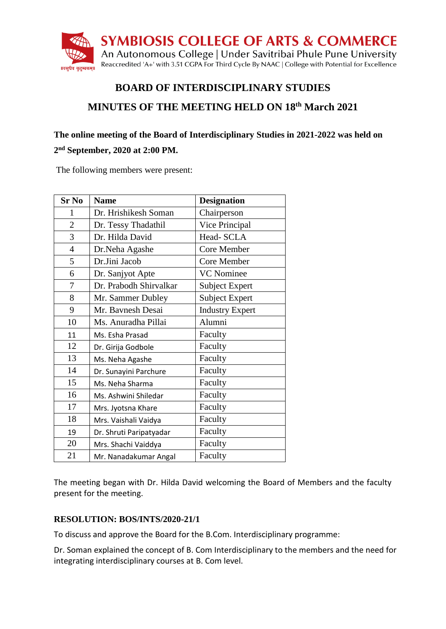

# **BOARD OF INTERDISCIPLINARY STUDIES MINUTES OF THE MEETING HELD ON 18th March 2021**

## **The online meeting of the Board of Interdisciplinary Studies in 2021-2022 was held on nd September, 2020 at 2:00 PM.**

The following members were present:

| <b>Sr No</b>   | <b>Name</b>             | <b>Designation</b>     |
|----------------|-------------------------|------------------------|
| 1              | Dr. Hrishikesh Soman    | Chairperson            |
| $\overline{2}$ | Dr. Tessy Thadathil     | Vice Principal         |
| 3              | Dr. Hilda David         | Head-SCLA              |
| $\overline{4}$ | Dr.Neha Agashe          | Core Member            |
| 5              | Dr.Jini Jacob           | Core Member            |
| 6              | Dr. Sanjyot Apte        | <b>VC</b> Nominee      |
| 7              | Dr. Prabodh Shirvalkar  | Subject Expert         |
| 8              | Mr. Sammer Dubley       | <b>Subject Expert</b>  |
| 9              | Mr. Bavnesh Desai       | <b>Industry Expert</b> |
| 10             | Ms. Anuradha Pillai     | Alumni                 |
| 11             | Ms. Esha Prasad         | Faculty                |
| 12             | Dr. Girija Godbole      | Faculty                |
| 13             | Ms. Neha Agashe         | Faculty                |
| 14             | Dr. Sunayini Parchure   | Faculty                |
| 15             | Ms. Neha Sharma         | Faculty                |
| 16             | Ms. Ashwini Shiledar    | Faculty                |
| 17             | Mrs. Jyotsna Khare      | Faculty                |
| 18             | Mrs. Vaishali Vaidya    | Faculty                |
| 19             | Dr. Shruti Paripatyadar | Faculty                |
| 20             | Mrs. Shachi Vaiddya     | Faculty                |
| 21             | Mr. Nanadakumar Angal   | Faculty                |

The meeting began with Dr. Hilda David welcoming the Board of Members and the faculty present for the meeting.

### **RESOLUTION: BOS/INTS/2020-21/1**

To discuss and approve the Board for the B.Com. Interdisciplinary programme:

Dr. Soman explained the concept of B. Com Interdisciplinary to the members and the need for integrating interdisciplinary courses at B. Com level.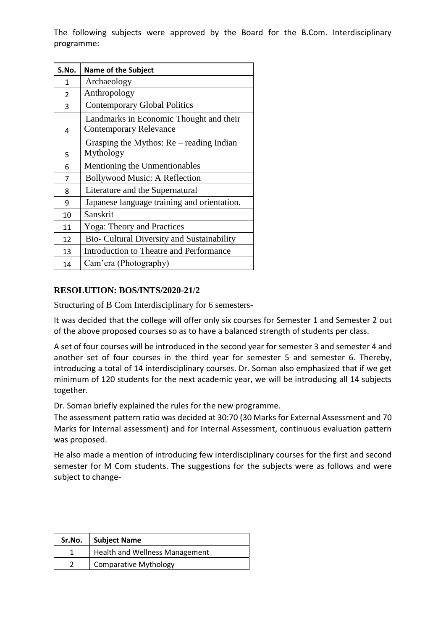The following subjects were approved by the Board for the B.Com. Interdisciplinary programme:

| S.No.         | <b>Name of the Subject</b>                                               |
|---------------|--------------------------------------------------------------------------|
| 1             | Archaeology                                                              |
| $\mathcal{P}$ | Anthropology                                                             |
| 3             | <b>Contemporary Global Politics</b>                                      |
| 4             | Landmarks in Economic Thought and their<br><b>Contemporary Relevance</b> |
| 5             | Grasping the Mythos: $Re$ – reading Indian<br>Mythology                  |
| 6             | Mentioning the Unmentionables                                            |
| 7             | <b>Bollywood Music: A Reflection</b>                                     |
| 8             | Literature and the Supernatural                                          |
| q             | Japanese language training and orientation.                              |
| 10            | Sanskrit                                                                 |
| 11            | <b>Yoga: Theory and Practices</b>                                        |
| 12            | Bio- Cultural Diversity and Sustainability                               |
| 13            | Introduction to Theatre and Performance                                  |
| 14            | Cam'era (Photography)                                                    |

#### **RESOLUTION: BOS/INTS/2020-21/2**

Structuring of B Com Interdisciplinary for 6 semesters-

It was decided that the college will offer only six courses for Semester 1 and Semester 2 out of the above proposed courses so as to have a balanced strength of students per class.

A set of four courses will be introduced in the second year for semester 3 and semester 4 and another set of four courses in the third year for semester 5 and semester 6. Thereby, introducing a total of 14 interdisciplinary courses. Dr. Soman also emphasized that if we get minimum of 120 students for the next academic year, we will be introducing all 14 subjects together.

Dr. Soman briefly explained the rules for the new programme.

The assessment pattern ratio was decided at 30:70 (30 Marks for External Assessment and 70 Marks for Internal assessment) and for Internal Assessment, continuous evaluation pattern was proposed.

He also made a mention of introducing few interdisciplinary courses for the first and second semester for M Com students. The suggestions for the subjects were as follows and were subject to change-

| Sr.No. | <b>Subject Name</b>                   |
|--------|---------------------------------------|
|        | <b>Health and Wellness Management</b> |
|        | <b>Comparative Mythology</b>          |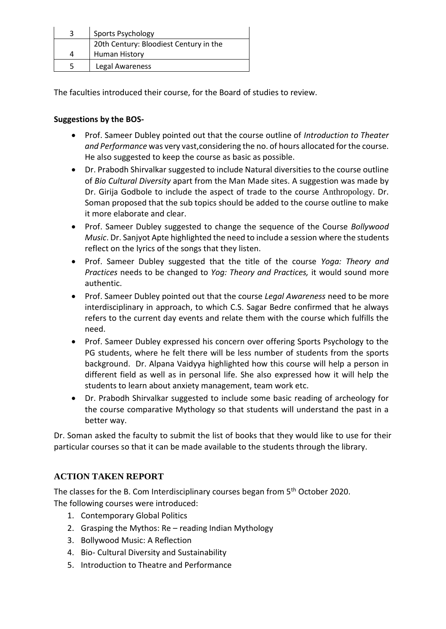| 3 | Sports Psychology                      |
|---|----------------------------------------|
|   | 20th Century: Bloodiest Century in the |
|   | Human History                          |
| 5 | Legal Awareness                        |

The faculties introduced their course, for the Board of studies to review.

#### **Suggestions by the BOS-**

- Prof. Sameer Dubley pointed out that the course outline of *Introduction to Theater and Performance* was very vast,considering the no. of hours allocated for the course. He also suggested to keep the course as basic as possible.
- Dr. Prabodh Shirvalkar suggested to include Natural diversities to the course outline of *Bio Cultural Diversity* apart from the Man Made sites. A suggestion was made by Dr. Girija Godbole to include the aspect of trade to the course Anthropology. Dr. Soman proposed that the sub topics should be added to the course outline to make it more elaborate and clear.
- Prof. Sameer Dubley suggested to change the sequence of the Course *Bollywood Music*. Dr. Sanjyot Apte highlighted the need to include a session where the students reflect on the lyrics of the songs that they listen.
- Prof. Sameer Dubley suggested that the title of the course *Yoga: Theory and Practices* needs to be changed to *Yog: Theory and Practices,* it would sound more authentic.
- Prof. Sameer Dubley pointed out that the course *Legal Awareness* need to be more interdisciplinary in approach, to which C.S. Sagar Bedre confirmed that he always refers to the current day events and relate them with the course which fulfills the need.
- Prof. Sameer Dubley expressed his concern over offering Sports Psychology to the PG students, where he felt there will be less number of students from the sports background. Dr. Alpana Vaidyya highlighted how this course will help a person in different field as well as in personal life. She also expressed how it will help the students to learn about anxiety management, team work etc.
- Dr. Prabodh Shirvalkar suggested to include some basic reading of archeology for the course comparative Mythology so that students will understand the past in a better way.

Dr. Soman asked the faculty to submit the list of books that they would like to use for their particular courses so that it can be made available to the students through the library.

### **ACTION TAKEN REPORT**

The classes for the B. Com Interdisciplinary courses began from 5<sup>th</sup> October 2020. The following courses were introduced:

- 1. Contemporary Global Politics
- 2. Grasping the Mythos:  $Re$  reading Indian Mythology
- 3. Bollywood Music: A Reflection
- 4. Bio- Cultural Diversity and Sustainability
- 5. Introduction to Theatre and Performance